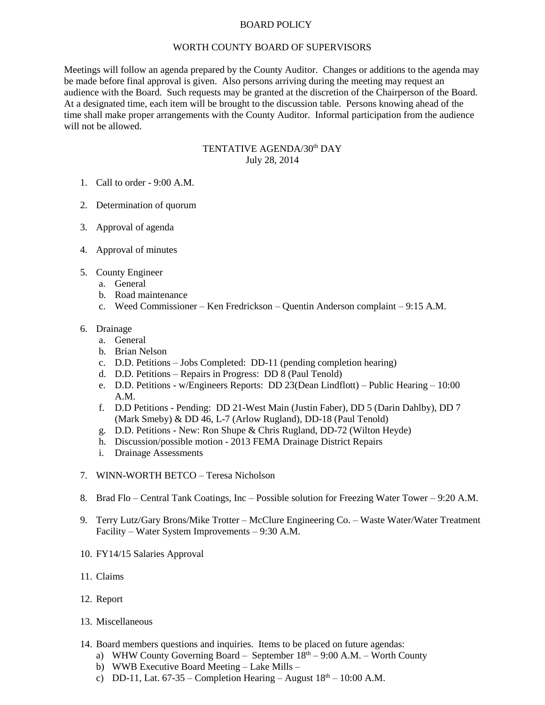## BOARD POLICY

## WORTH COUNTY BOARD OF SUPERVISORS

Meetings will follow an agenda prepared by the County Auditor. Changes or additions to the agenda may be made before final approval is given. Also persons arriving during the meeting may request an audience with the Board. Such requests may be granted at the discretion of the Chairperson of the Board. At a designated time, each item will be brought to the discussion table. Persons knowing ahead of the time shall make proper arrangements with the County Auditor. Informal participation from the audience will not be allowed.

## TENTATIVE AGENDA/30<sup>th</sup> DAY July 28, 2014

- 1. Call to order 9:00 A.M.
- 2. Determination of quorum
- 3. Approval of agenda
- 4. Approval of minutes
- 5. County Engineer
	- a. General
	- b. Road maintenance
	- c. Weed Commissioner Ken Fredrickson Quentin Anderson complaint 9:15 A.M.
- 6. Drainage
	- a. General
	- b. Brian Nelson
	- c. D.D. Petitions Jobs Completed: DD-11 (pending completion hearing)
	- d. D.D. Petitions Repairs in Progress: DD 8 (Paul Tenold)
	- e. D.D. Petitions w/Engineers Reports: DD 23(Dean Lindflott) Public Hearing 10:00 A.M.
	- f. D.D Petitions Pending: DD 21-West Main (Justin Faber), DD 5 (Darin Dahlby), DD 7 (Mark Smeby) & DD 46, L-7 (Arlow Rugland), DD-18 (Paul Tenold)
	- g. D.D. Petitions New: Ron Shupe & Chris Rugland, DD-72 (Wilton Heyde)
	- h. Discussion/possible motion 2013 FEMA Drainage District Repairs
	- i. Drainage Assessments
- 7. WINN-WORTH BETCO Teresa Nicholson
- 8. Brad Flo Central Tank Coatings, Inc Possible solution for Freezing Water Tower 9:20 A.M.
- 9. Terry Lutz/Gary Brons/Mike Trotter McClure Engineering Co. Waste Water/Water Treatment Facility – Water System Improvements – 9:30 A.M.
- 10. FY14/15 Salaries Approval
- 11. Claims
- 12. Report
- 13. Miscellaneous
- 14. Board members questions and inquiries. Items to be placed on future agendas:
	- a) WHW County Governing Board September  $18<sup>th</sup> 9:00$  A.M. Worth County
	- b) WWB Executive Board Meeting Lake Mills –
	- c) DD-11, Lat.  $67-35$  Completion Hearing August  $18<sup>th</sup>$  10:00 A.M.